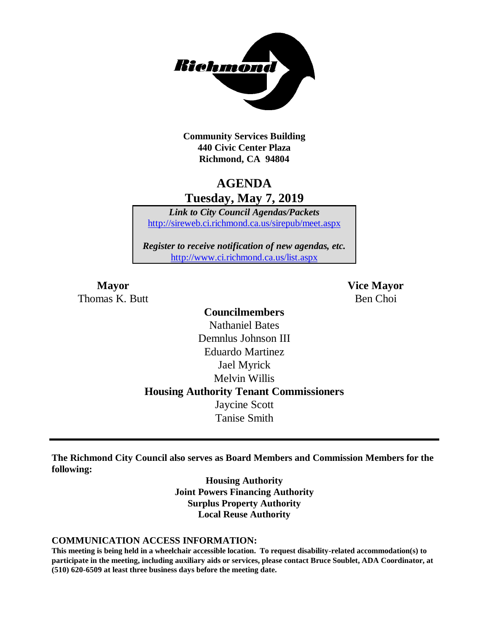

**Community Services Building 440 Civic Center Plaza Richmond, CA 94804**

# **AGENDA Tuesday, May 7, 2019**

*Link to City Council Agendas/Packets* <http://sireweb.ci.richmond.ca.us/sirepub/meet.aspx>

*Register to receive notification of new agendas, etc.* <http://www.ci.richmond.ca.us/list.aspx>

Thomas K. Butt Ben Choi

**Mayor Vice Mayor**

# **Councilmembers** Nathaniel Bates Demnlus Johnson III Eduardo Martinez Jael Myrick Melvin Willis **Housing Authority Tenant Commissioners** Jaycine Scott Tanise Smith

**The Richmond City Council also serves as Board Members and Commission Members for the following:**

> **Housing Authority Joint Powers Financing Authority Surplus Property Authority Local Reuse Authority**

#### **COMMUNICATION ACCESS INFORMATION:**

**This meeting is being held in a wheelchair accessible location. To request disability-related accommodation(s) to participate in the meeting, including auxiliary aids or services, please contact Bruce Soublet, ADA Coordinator, at (510) 620-6509 at least three business days before the meeting date.**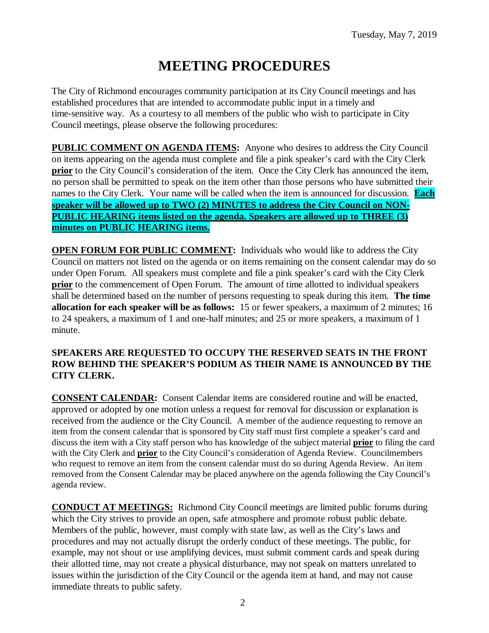# **MEETING PROCEDURES**

The City of Richmond encourages community participation at its City Council meetings and has established procedures that are intended to accommodate public input in a timely and time-sensitive way. As a courtesy to all members of the public who wish to participate in City Council meetings, please observe the following procedures:

**PUBLIC COMMENT ON AGENDA ITEMS:** Anyone who desires to address the City Council on items appearing on the agenda must complete and file a pink speaker's card with the City Clerk **prior** to the City Council's consideration of the item. Once the City Clerk has announced the item, no person shall be permitted to speak on the item other than those persons who have submitted their names to the City Clerk. Your name will be called when the item is announced for discussion. **Each speaker will be allowed up to TWO (2) MINUTES to address the City Council on NON-PUBLIC HEARING items listed on the agenda. Speakers are allowed up to THREE (3) minutes on PUBLIC HEARING items.**

**OPEN FORUM FOR PUBLIC COMMENT:** Individuals who would like to address the City Council on matters not listed on the agenda or on items remaining on the consent calendar may do so under Open Forum. All speakers must complete and file a pink speaker's card with the City Clerk **prior** to the commencement of Open Forum. The amount of time allotted to individual speakers shall be determined based on the number of persons requesting to speak during this item. **The time allocation for each speaker will be as follows:** 15 or fewer speakers, a maximum of 2 minutes; 16 to 24 speakers, a maximum of 1 and one-half minutes; and 25 or more speakers, a maximum of 1 minute.

#### **SPEAKERS ARE REQUESTED TO OCCUPY THE RESERVED SEATS IN THE FRONT ROW BEHIND THE SPEAKER'S PODIUM AS THEIR NAME IS ANNOUNCED BY THE CITY CLERK.**

**CONSENT CALENDAR:** Consent Calendar items are considered routine and will be enacted, approved or adopted by one motion unless a request for removal for discussion or explanation is received from the audience or the City Council. A member of the audience requesting to remove an item from the consent calendar that is sponsored by City staff must first complete a speaker's card and discuss the item with a City staff person who has knowledge of the subject material **prior** to filing the card with the City Clerk and **prior** to the City Council's consideration of Agenda Review. Councilmembers who request to remove an item from the consent calendar must do so during Agenda Review. An item removed from the Consent Calendar may be placed anywhere on the agenda following the City Council's agenda review.

**CONDUCT AT MEETINGS:** Richmond City Council meetings are limited public forums during which the City strives to provide an open, safe atmosphere and promote robust public debate. Members of the public, however, must comply with state law, as well as the City's laws and procedures and may not actually disrupt the orderly conduct of these meetings. The public, for example, may not shout or use amplifying devices, must submit comment cards and speak during their allotted time, may not create a physical disturbance, may not speak on matters unrelated to issues within the jurisdiction of the City Council or the agenda item at hand, and may not cause immediate threats to public safety.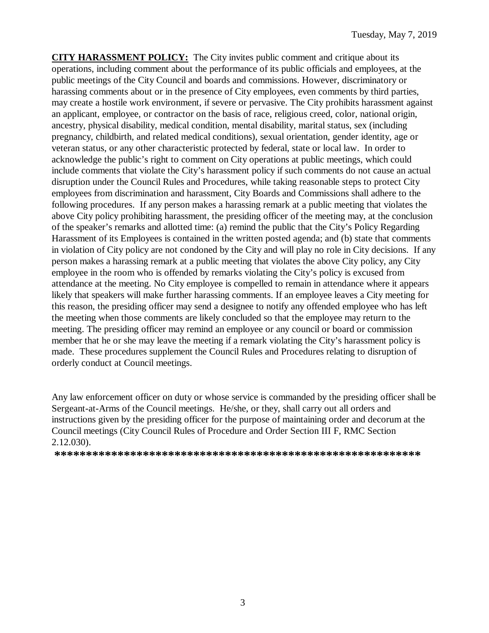**CITY HARASSMENT POLICY:** The City invites public comment and critique about its operations, including comment about the performance of its public officials and employees, at the public meetings of the City Council and boards and commissions. However, discriminatory or harassing comments about or in the presence of City employees, even comments by third parties, may create a hostile work environment, if severe or pervasive. The City prohibits harassment against an applicant, employee, or contractor on the basis of race, religious creed, color, national origin, ancestry, physical disability, medical condition, mental disability, marital status, sex (including pregnancy, childbirth, and related medical conditions), sexual orientation, gender identity, age or veteran status, or any other characteristic protected by federal, state or local law. In order to acknowledge the public's right to comment on City operations at public meetings, which could include comments that violate the City's harassment policy if such comments do not cause an actual disruption under the Council Rules and Procedures, while taking reasonable steps to protect City employees from discrimination and harassment, City Boards and Commissions shall adhere to the following procedures. If any person makes a harassing remark at a public meeting that violates the above City policy prohibiting harassment, the presiding officer of the meeting may, at the conclusion of the speaker's remarks and allotted time: (a) remind the public that the City's Policy Regarding Harassment of its Employees is contained in the written posted agenda; and (b) state that comments in violation of City policy are not condoned by the City and will play no role in City decisions. If any person makes a harassing remark at a public meeting that violates the above City policy, any City employee in the room who is offended by remarks violating the City's policy is excused from attendance at the meeting. No City employee is compelled to remain in attendance where it appears likely that speakers will make further harassing comments. If an employee leaves a City meeting for this reason, the presiding officer may send a designee to notify any offended employee who has left the meeting when those comments are likely concluded so that the employee may return to the meeting. The presiding officer may remind an employee or any council or board or commission member that he or she may leave the meeting if a remark violating the City's harassment policy is made. These procedures supplement the Council Rules and Procedures relating to disruption of orderly conduct at Council meetings.

Any law enforcement officer on duty or whose service is commanded by the presiding officer shall be Sergeant-at-Arms of the Council meetings. He/she, or they, shall carry out all orders and instructions given by the presiding officer for the purpose of maintaining order and decorum at the Council meetings (City Council Rules of Procedure and Order Section III F, RMC Section 2.12.030).

**\*\*\*\*\*\*\*\*\*\*\*\*\*\*\*\*\*\*\*\*\*\*\*\*\*\*\*\*\*\*\*\*\*\*\*\*\*\*\*\*\*\*\*\*\*\*\*\*\*\*\*\*\*\*\*\*\*\***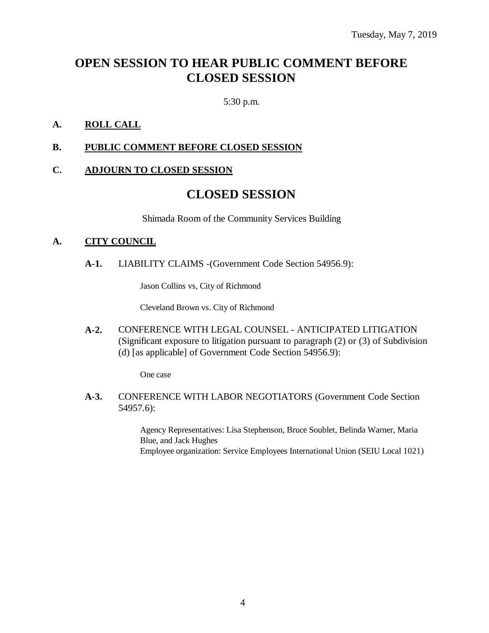# **OPEN SESSION TO HEAR PUBLIC COMMENT BEFORE CLOSED SESSION**

5:30 p.m.

### **A. ROLL CALL**

#### **B. PUBLIC COMMENT BEFORE CLOSED SESSION**

#### **C. ADJOURN TO CLOSED SESSION**

## **CLOSED SESSION**

Shimada Room of the Community Services Building

#### **A. CITY COUNCIL**

**A-1.** LIABILITY CLAIMS -(Government Code Section 54956.9):

Jason Collins vs, City of Richmond

Cleveland Brown vs. City of Richmond

**A-2.** CONFERENCE WITH LEGAL COUNSEL - ANTICIPATED LITIGATION (Significant exposure to litigation pursuant to paragraph (2) or (3) of Subdivision (d) [as applicable] of Government Code Section 54956.9):

One case

**A-3.** CONFERENCE WITH LABOR NEGOTIATORS (Government Code Section 54957.6):

> Agency Representatives: Lisa Stephenson, Bruce Soublet, Belinda Warner, Maria Blue, and Jack Hughes Employee organization: Service Employees International Union (SEIU Local 1021)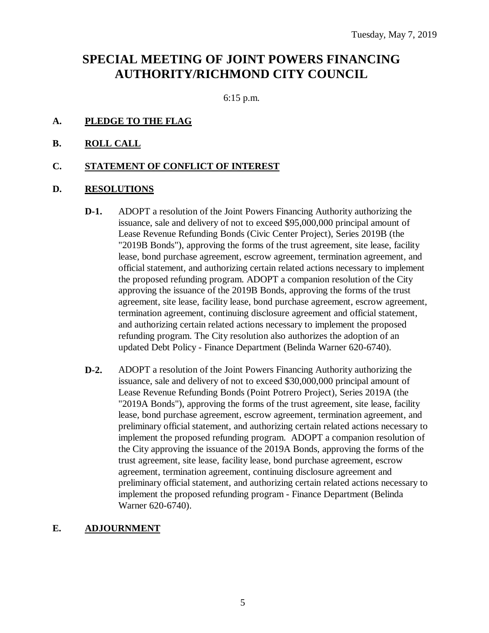# **SPECIAL MEETING OF JOINT POWERS FINANCING AUTHORITY/RICHMOND CITY COUNCIL**

6:15 p.m.

- **A. PLEDGE TO THE FLAG**
- **B. ROLL CALL**

#### **C. STATEMENT OF CONFLICT OF INTEREST**

#### **D. RESOLUTIONS**

- **D-1.** ADOPT a resolution of the Joint Powers Financing Authority authorizing the issuance, sale and delivery of not to exceed \$95,000,000 principal amount of Lease Revenue Refunding Bonds (Civic Center Project), Series 2019B (the "2019B Bonds"), approving the forms of the trust agreement, site lease, facility lease, bond purchase agreement, escrow agreement, termination agreement, and official statement, and authorizing certain related actions necessary to implement the proposed refunding program. ADOPT a companion resolution of the City approving the issuance of the 2019B Bonds, approving the forms of the trust agreement, site lease, facility lease, bond purchase agreement, escrow agreement, termination agreement, continuing disclosure agreement and official statement, and authorizing certain related actions necessary to implement the proposed refunding program. The City resolution also authorizes the adoption of an updated Debt Policy - Finance Department (Belinda Warner 620-6740).
- **D-2.** ADOPT a resolution of the Joint Powers Financing Authority authorizing the issuance, sale and delivery of not to exceed \$30,000,000 principal amount of Lease Revenue Refunding Bonds (Point Potrero Project), Series 2019A (the "2019A Bonds"), approving the forms of the trust agreement, site lease, facility lease, bond purchase agreement, escrow agreement, termination agreement, and preliminary official statement, and authorizing certain related actions necessary to implement the proposed refunding program. ADOPT a companion resolution of the City approving the issuance of the 2019A Bonds, approving the forms of the trust agreement, site lease, facility lease, bond purchase agreement, escrow agreement, termination agreement, continuing disclosure agreement and preliminary official statement, and authorizing certain related actions necessary to implement the proposed refunding program - Finance Department (Belinda Warner 620-6740).

#### **E. ADJOURNMENT**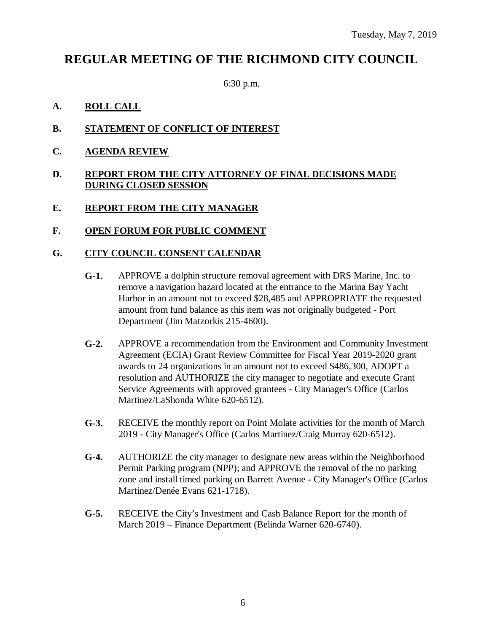# **REGULAR MEETING OF THE RICHMOND CITY COUNCIL**

6:30 p.m.

### **A. ROLL CALL**

- **B. STATEMENT OF CONFLICT OF INTEREST**
- **C. AGENDA REVIEW**

#### **D. REPORT FROM THE CITY ATTORNEY OF FINAL DECISIONS MADE DURING CLOSED SESSION**

#### **E. REPORT FROM THE CITY MANAGER**

#### **F. OPEN FORUM FOR PUBLIC COMMENT**

#### **G. CITY COUNCIL CONSENT CALENDAR**

- **G-1.** APPROVE a dolphin structure removal agreement with DRS Marine, Inc. to remove a navigation hazard located at the entrance to the Marina Bay Yacht Harbor in an amount not to exceed \$28,485 and APPROPRIATE the requested amount from fund balance as this item was not originally budgeted - Port Department (Jim Matzorkis 215-4600).
- **G-2.** APPROVE a recommendation from the Environment and Community Investment Agreement (ECIA) Grant Review Committee for Fiscal Year 2019-2020 grant awards to 24 organizations in an amount not to exceed \$486,300, ADOPT a resolution and AUTHORIZE the city manager to negotiate and execute Grant Service Agreements with approved grantees - City Manager's Office (Carlos Martinez/LaShonda White 620-6512).
- **G-3.** RECEIVE the monthly report on Point Molate activities for the month of March 2019 - City Manager's Office (Carlos Martinez/Craig Murray 620-6512).
- **G-4.** AUTHORIZE the city manager to designate new areas within the Neighborhood Permit Parking program (NPP); and APPROVE the removal of the no parking zone and install timed parking on Barrett Avenue - City Manager's Office (Carlos Martinez/Denée Evans 621-1718).
- **G-5.** RECEIVE the City's Investment and Cash Balance Report for the month of March 2019 – Finance Department (Belinda Warner 620-6740).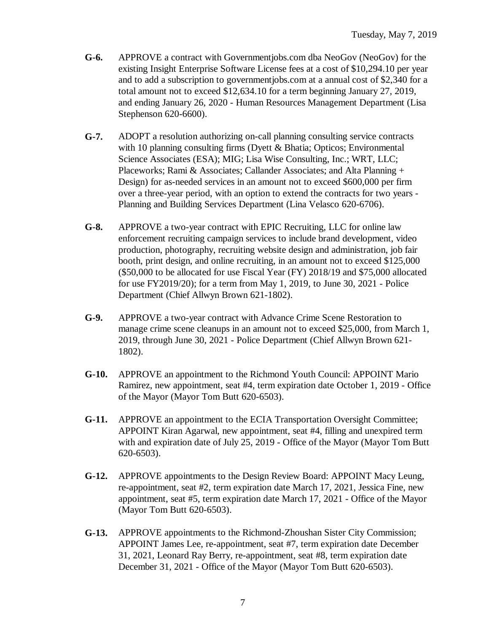- **G-6.** APPROVE a contract with Governmentjobs.com dba NeoGov (NeoGov) for the existing Insight Enterprise Software License fees at a cost of \$10,294.10 per year and to add a subscription to governmentjobs.com at a annual cost of \$2,340 for a total amount not to exceed \$12,634.10 for a term beginning January 27, 2019, and ending January 26, 2020 - Human Resources Management Department (Lisa Stephenson 620-6600).
- **G-7.** ADOPT a resolution authorizing on-call planning consulting service contracts with 10 planning consulting firms (Dyett & Bhatia; Opticos; Environmental Science Associates (ESA); MIG; Lisa Wise Consulting, Inc.; WRT, LLC; Placeworks; Rami & Associates; Callander Associates; and Alta Planning + Design) for as-needed services in an amount not to exceed \$600,000 per firm over a three-year period, with an option to extend the contracts for two years - Planning and Building Services Department (Lina Velasco 620-6706).
- **G-8.** APPROVE a two-year contract with EPIC Recruiting, LLC for online law enforcement recruiting campaign services to include brand development, video production, photography, recruiting website design and administration, job fair booth, print design, and online recruiting, in an amount not to exceed \$125,000 (\$50,000 to be allocated for use Fiscal Year (FY) 2018/19 and \$75,000 allocated for use FY2019/20); for a term from May 1, 2019, to June 30, 2021 - Police Department (Chief Allwyn Brown 621-1802).
- **G-9.** APPROVE a two-year contract with Advance Crime Scene Restoration to manage crime scene cleanups in an amount not to exceed \$25,000, from March 1, 2019, through June 30, 2021 - Police Department (Chief Allwyn Brown 621- 1802).
- **G-10.** APPROVE an appointment to the Richmond Youth Council: APPOINT Mario Ramirez, new appointment, seat #4, term expiration date October 1, 2019 - Office of the Mayor (Mayor Tom Butt 620-6503).
- **G-11.** APPROVE an appointment to the ECIA Transportation Oversight Committee; APPOINT Kiran Agarwal, new appointment, seat #4, filling and unexpired term with and expiration date of July 25, 2019 - Office of the Mayor (Mayor Tom Butt 620-6503).
- **G-12.** APPROVE appointments to the Design Review Board: APPOINT Macy Leung, re-appointment, seat #2, term expiration date March 17, 2021, Jessica Fine, new appointment, seat #5, term expiration date March 17, 2021 - Office of the Mayor (Mayor Tom Butt 620-6503).
- **G-13.** APPROVE appointments to the Richmond-Zhoushan Sister City Commission; APPOINT James Lee, re-appointment, seat #7, term expiration date December 31, 2021, Leonard Ray Berry, re-appointment, seat #8, term expiration date December 31, 2021 - Office of the Mayor (Mayor Tom Butt 620-6503).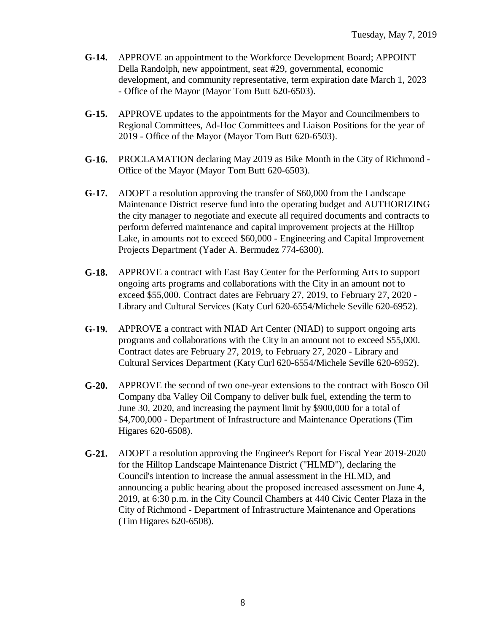- **G-14.** APPROVE an appointment to the Workforce Development Board; APPOINT Della Randolph, new appointment, seat #29, governmental, economic development, and community representative, term expiration date March 1, 2023 - Office of the Mayor (Mayor Tom Butt 620-6503).
- **G-15.** APPROVE updates to the appointments for the Mayor and Councilmembers to Regional Committees, Ad-Hoc Committees and Liaison Positions for the year of 2019 - Office of the Mayor (Mayor Tom Butt 620-6503).
- **G-16.** PROCLAMATION declaring May 2019 as Bike Month in the City of Richmond Office of the Mayor (Mayor Tom Butt 620-6503).
- **G-17.** ADOPT a resolution approving the transfer of \$60,000 from the Landscape Maintenance District reserve fund into the operating budget and AUTHORIZING the city manager to negotiate and execute all required documents and contracts to perform deferred maintenance and capital improvement projects at the Hilltop Lake, in amounts not to exceed \$60,000 - Engineering and Capital Improvement Projects Department (Yader A. Bermudez 774-6300).
- **G-18.** APPROVE a contract with East Bay Center for the Performing Arts to support ongoing arts programs and collaborations with the City in an amount not to exceed \$55,000. Contract dates are February 27, 2019, to February 27, 2020 - Library and Cultural Services (Katy Curl 620-6554/Michele Seville 620-6952).
- **G-19.** APPROVE a contract with NIAD Art Center (NIAD) to support ongoing arts programs and collaborations with the City in an amount not to exceed \$55,000. Contract dates are February 27, 2019, to February 27, 2020 - Library and Cultural Services Department (Katy Curl 620-6554/Michele Seville 620-6952).
- **G-20.** APPROVE the second of two one-year extensions to the contract with Bosco Oil Company dba Valley Oil Company to deliver bulk fuel, extending the term to June 30, 2020, and increasing the payment limit by \$900,000 for a total of \$4,700,000 - Department of Infrastructure and Maintenance Operations (Tim Higares 620-6508).
- **G-21.** ADOPT a resolution approving the Engineer's Report for Fiscal Year 2019-2020 for the Hilltop Landscape Maintenance District ("HLMD"), declaring the Council's intention to increase the annual assessment in the HLMD, and announcing a public hearing about the proposed increased assessment on June 4, 2019, at 6:30 p.m. in the City Council Chambers at 440 Civic Center Plaza in the City of Richmond - Department of Infrastructure Maintenance and Operations (Tim Higares 620-6508).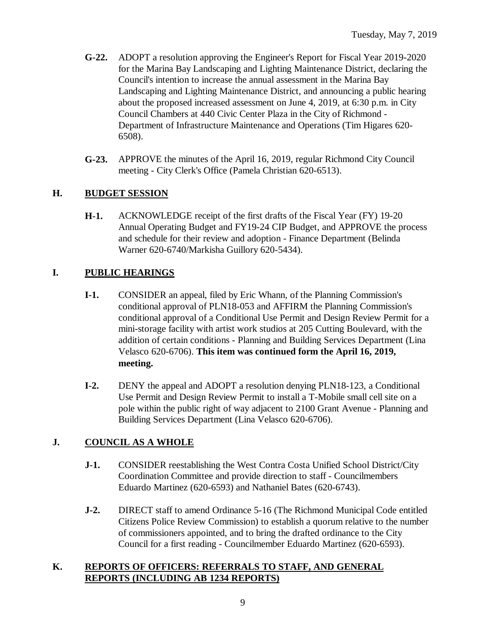- **G-22.** ADOPT a resolution approving the Engineer's Report for Fiscal Year 2019-2020 for the Marina Bay Landscaping and Lighting Maintenance District, declaring the Council's intention to increase the annual assessment in the Marina Bay Landscaping and Lighting Maintenance District, and announcing a public hearing about the proposed increased assessment on June 4, 2019, at 6:30 p.m. in City Council Chambers at 440 Civic Center Plaza in the City of Richmond - Department of Infrastructure Maintenance and Operations (Tim Higares 620- 6508).
- **G-23.** APPROVE the minutes of the April 16, 2019, regular Richmond City Council meeting - City Clerk's Office (Pamela Christian 620-6513).

### **H. BUDGET SESSION**

**H-1.** ACKNOWLEDGE receipt of the first drafts of the Fiscal Year (FY) 19-20 Annual Operating Budget and FY19-24 CIP Budget, and APPROVE the process and schedule for their review and adoption - Finance Department (Belinda Warner 620-6740/Markisha Guillory 620-5434).

### **I. PUBLIC HEARINGS**

- **I-1.** CONSIDER an appeal, filed by Eric Whann, of the Planning Commission's conditional approval of PLN18-053 and AFFIRM the Planning Commission's conditional approval of a Conditional Use Permit and Design Review Permit for a mini-storage facility with artist work studios at 205 Cutting Boulevard, with the addition of certain conditions - Planning and Building Services Department (Lina Velasco 620-6706). **This item was continued form the April 16, 2019, meeting.**
- **I-2.** DENY the appeal and ADOPT a resolution denying PLN18-123, a Conditional Use Permit and Design Review Permit to install a T-Mobile small cell site on a pole within the public right of way adjacent to 2100 Grant Avenue - Planning and Building Services Department (Lina Velasco 620-6706).

#### **J. COUNCIL AS A WHOLE**

- **J-1.** CONSIDER reestablishing the West Contra Costa Unified School District/City Coordination Committee and provide direction to staff - Councilmembers Eduardo Martinez (620-6593) and Nathaniel Bates (620-6743).
- **J-2.** DIRECT staff to amend Ordinance 5-16 (The Richmond Municipal Code entitled Citizens Police Review Commission) to establish a quorum relative to the number of commissioners appointed, and to bring the drafted ordinance to the City Council for a first reading - Councilmember Eduardo Martinez (620-6593).

#### **K. REPORTS OF OFFICERS: REFERRALS TO STAFF, AND GENERAL REPORTS (INCLUDING AB 1234 REPORTS)**